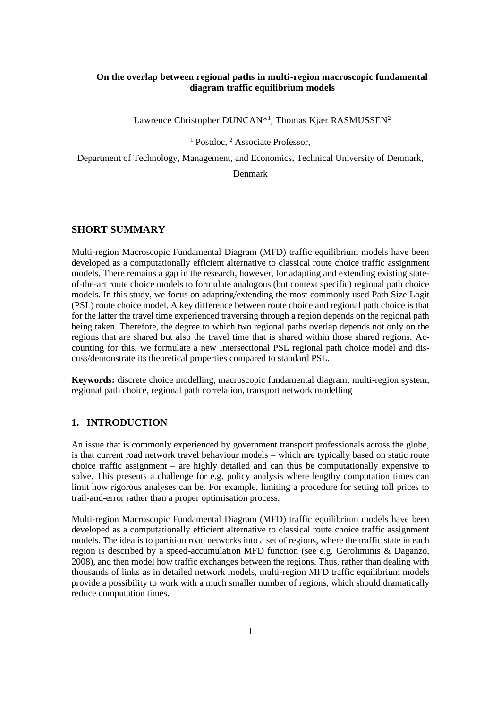## **On the overlap between regional paths in multi-region macroscopic fundamental diagram traffic equilibrium models**

Lawrence Christopher DUNCAN<sup>\*1</sup>, Thomas Kjær RASMUSSEN<sup>2</sup>

<sup>1</sup> Postdoc, <sup>2</sup> Associate Professor,

Department of Technology, Management, and Economics, Technical University of Denmark,

Denmark

### **SHORT SUMMARY**

Multi-region Macroscopic Fundamental Diagram (MFD) traffic equilibrium models have been developed as a computationally efficient alternative to classical route choice traffic assignment models. There remains a gap in the research, however, for adapting and extending existing stateof-the-art route choice models to formulate analogous (but context specific) regional path choice models. In this study, we focus on adapting/extending the most commonly used Path Size Logit (PSL) route choice model. A key difference between route choice and regional path choice is that for the latter the travel time experienced traversing through a region depends on the regional path being taken. Therefore, the degree to which two regional paths overlap depends not only on the regions that are shared but also the travel time that is shared within those shared regions. Accounting for this, we formulate a new Intersectional PSL regional path choice model and discuss/demonstrate its theoretical properties compared to standard PSL.

**Keywords:** discrete choice modelling, macroscopic fundamental diagram, multi-region system, regional path choice, regional path correlation, transport network modelling

### **1. INTRODUCTION**

An issue that is commonly experienced by government transport professionals across the globe, is that current road network travel behaviour models – which are typically based on static route choice traffic assignment – are highly detailed and can thus be computationally expensive to solve. This presents a challenge for e.g. policy analysis where lengthy computation times can limit how rigorous analyses can be. For example, limiting a procedure for setting toll prices to trail-and-error rather than a proper optimisation process.

Multi-region Macroscopic Fundamental Diagram (MFD) traffic equilibrium models have been developed as a computationally efficient alternative to classical route choice traffic assignment models. The idea is to partition road networks into a set of regions, where the traffic state in each region is described by a speed-accumulation MFD function (see e.g. Geroliminis & Daganzo, 2008), and then model how traffic exchanges between the regions. Thus, rather than dealing with thousands of links as in detailed network models, multi-region MFD traffic equilibrium models provide a possibility to work with a much smaller number of regions, which should dramatically reduce computation times.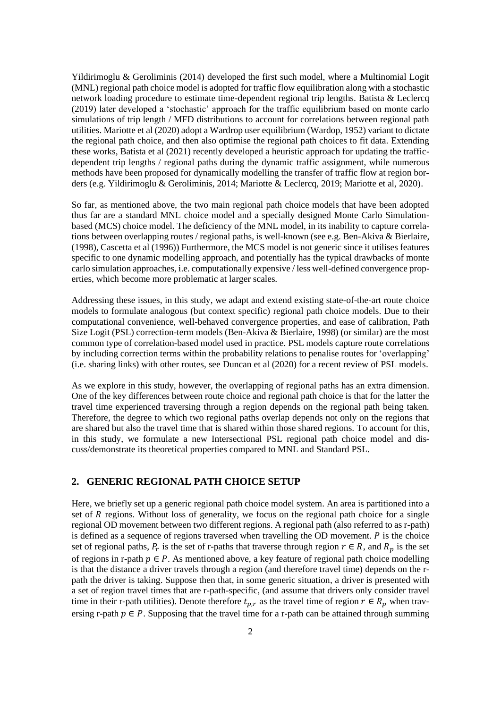Yildirimoglu & Geroliminis (2014) developed the first such model, where a Multinomial Logit (MNL) regional path choice model is adopted for traffic flow equilibration along with a stochastic network loading procedure to estimate time-dependent regional trip lengths. Batista & Leclercq (2019) later developed a 'stochastic' approach for the traffic equilibrium based on monte carlo simulations of trip length / MFD distributions to account for correlations between regional path utilities. Mariotte et al (2020) adopt a Wardrop user equilibrium (Wardop, 1952) variant to dictate the regional path choice, and then also optimise the regional path choices to fit data. Extending these works, Batista et al (2021) recently developed a heuristic approach for updating the trafficdependent trip lengths / regional paths during the dynamic traffic assignment, while numerous methods have been proposed for dynamically modelling the transfer of traffic flow at region borders (e.g. Yildirimoglu & Geroliminis, 2014; Mariotte & Leclercq, 2019; Mariotte et al, 2020).

So far, as mentioned above, the two main regional path choice models that have been adopted thus far are a standard MNL choice model and a specially designed Monte Carlo Simulationbased (MCS) choice model. The deficiency of the MNL model, in its inability to capture correlations between overlapping routes / regional paths, is well-known (see e.g. Ben-Akiva & Bierlaire, (1998), Cascetta et al (1996)) Furthermore, the MCS model is not generic since it utilises features specific to one dynamic modelling approach, and potentially has the typical drawbacks of monte carlo simulation approaches, i.e. computationally expensive / less well-defined convergence properties, which become more problematic at larger scales.

Addressing these issues, in this study, we adapt and extend existing state-of-the-art route choice models to formulate analogous (but context specific) regional path choice models. Due to their computational convenience, well-behaved convergence properties, and ease of calibration, Path Size Logit (PSL) correction-term models (Ben-Akiva & Bierlaire, 1998) (or similar) are the most common type of correlation-based model used in practice. PSL models capture route correlations by including correction terms within the probability relations to penalise routes for 'overlapping' (i.e. sharing links) with other routes, see Duncan et al (2020) for a recent review of PSL models.

As we explore in this study, however, the overlapping of regional paths has an extra dimension. One of the key differences between route choice and regional path choice is that for the latter the travel time experienced traversing through a region depends on the regional path being taken. Therefore, the degree to which two regional paths overlap depends not only on the regions that are shared but also the travel time that is shared within those shared regions. To account for this, in this study, we formulate a new Intersectional PSL regional path choice model and discuss/demonstrate its theoretical properties compared to MNL and Standard PSL.

## **2. GENERIC REGIONAL PATH CHOICE SETUP**

Here, we briefly set up a generic regional path choice model system. An area is partitioned into a set of  $R$  regions. Without loss of generality, we focus on the regional path choice for a single regional OD movement between two different regions. A regional path (also referred to as r-path) is defined as a sequence of regions traversed when travelling the OD movement.  $P$  is the choice set of regional paths,  $P_r$  is the set of r-paths that traverse through region  $r \in R$ , and  $R_p$  is the set of regions in r-path  $p \in P$ . As mentioned above, a key feature of regional path choice modelling is that the distance a driver travels through a region (and therefore travel time) depends on the rpath the driver is taking. Suppose then that, in some generic situation, a driver is presented with a set of region travel times that are r-path-specific, (and assume that drivers only consider travel time in their r-path utilities). Denote therefore  $t_{p,r}$  as the travel time of region  $r \in R_p$  when traversing r-path  $p \in P$ . Supposing that the travel time for a r-path can be attained through summing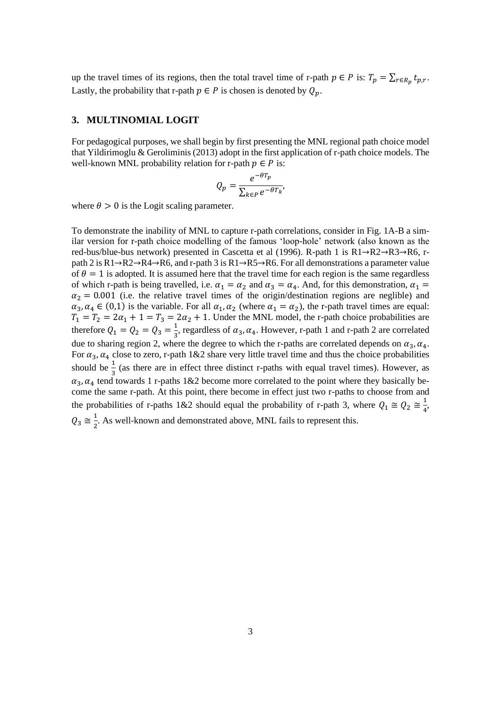up the travel times of its regions, then the total travel time of r-path  $p \in P$  is:  $T_p = \sum_{r \in R_p} t_{p,r}$ . Lastly, the probability that r-path  $p \in P$  is chosen is denoted by  $Q_n$ .

## **3. MULTINOMIAL LOGIT**

For pedagogical purposes, we shall begin by first presenting the MNL regional path choice model that Yildirimoglu & Geroliminis (2013) adopt in the first application of r-path choice models. The well-known MNL probability relation for r-path  $p \in P$  is:

$$
Q_p = \frac{e^{-\theta T_p}}{\sum_{k \in P} e^{-\theta T_k}}
$$

where  $\theta > 0$  is the Logit scaling parameter.

To demonstrate the inability of MNL to capture r-path correlations, consider in Fig. 1A-B a similar version for r-path choice modelling of the famous 'loop-hole' network (also known as the red-bus/blue-bus network) presented in Cascetta et al (1996). R-path 1 is R1→R2→R3→R6, rpath 2 is R1→R2→R4→R6, and r-path 3 is R1→R5→R6. For all demonstrations a parameter value of  $\theta = 1$  is adopted. It is assumed here that the travel time for each region is the same regardless of which r-path is being travelled, i.e.  $\alpha_1 = \alpha_2$  and  $\alpha_3 = \alpha_4$ . And, for this demonstration,  $\alpha_1 =$  $\alpha_2 = 0.001$  (i.e. the relative travel times of the origin/destination regions are neglible) and  $\alpha_3, \alpha_4 \in (0,1)$  is the variable. For all  $\alpha_1, \alpha_2$  (where  $\alpha_1 = \alpha_2$ ), the r-path travel times are equal:  $T_1 = T_2 = 2\alpha_1 + 1 = T_3 = 2\alpha_2 + 1$ . Under the MNL model, the r-path choice probabilities are therefore  $Q_1 = Q_2 = Q_3 = \frac{1}{3}$  $\frac{1}{3}$ , regardless of  $\alpha_3$ ,  $\alpha_4$ . However, r-path 1 and r-path 2 are correlated due to sharing region 2, where the degree to which the r-paths are correlated depends on  $\alpha_3$ ,  $\alpha_4$ . For  $\alpha_3$ ,  $\alpha_4$  close to zero, r-path 1&2 share very little travel time and thus the choice probabilities should be  $\frac{1}{3}$  (as there are in effect three distinct r-paths with equal travel times). However, as  $\alpha_3$ ,  $\alpha_4$  tend towards 1 r-paths 1&2 become more correlated to the point where they basically become the same r-path. At this point, there become in effect just two r-paths to choose from and the probabilities of r-paths 1&2 should equal the probability of r-path 3, where  $Q_1 \cong Q_2 \cong \frac{1}{4}$  $\frac{1}{4}$ ,  $Q_3 \cong \frac{1}{2}$  $\frac{1}{2}$ . As well-known and demonstrated above, MNL fails to represent this.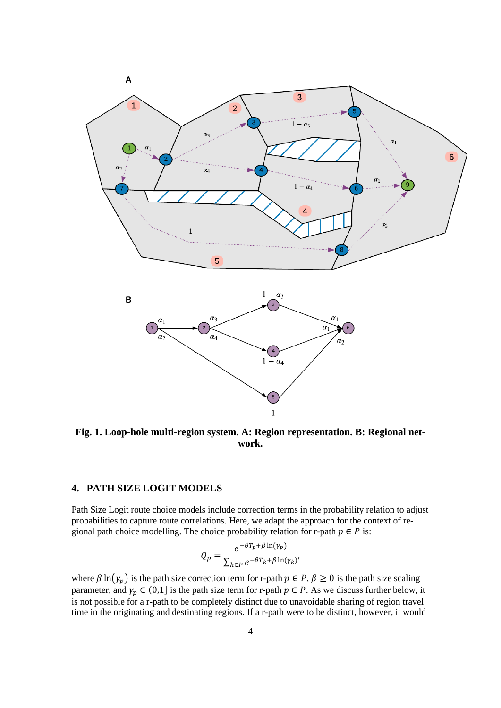

**Fig. 1. Loop-hole multi-region system. A: Region representation. B: Regional network.**

# **4. PATH SIZE LOGIT MODELS**

Path Size Logit route choice models include correction terms in the probability relation to adjust probabilities to capture route correlations. Here, we adapt the approach for the context of regional path choice modelling. The choice probability relation for r-path  $p \in P$  is:

$$
Q_p = \frac{e^{-\theta T_p + \beta \ln(\gamma_p)}}{\sum_{k \in P} e^{-\theta T_k + \beta \ln(\gamma_k)}}
$$

where  $\beta \ln(\gamma_p)$  is the path size correction term for r-path  $p \in P$ ,  $\beta \ge 0$  is the path size scaling parameter, and  $\gamma_p \in (0,1]$  is the path size term for r-path  $p \in P$ . As we discuss further below, it is not possible for a r-path to be completely distinct due to unavoidable sharing of region travel time in the originating and destinating regions. If a r-path were to be distinct, however, it would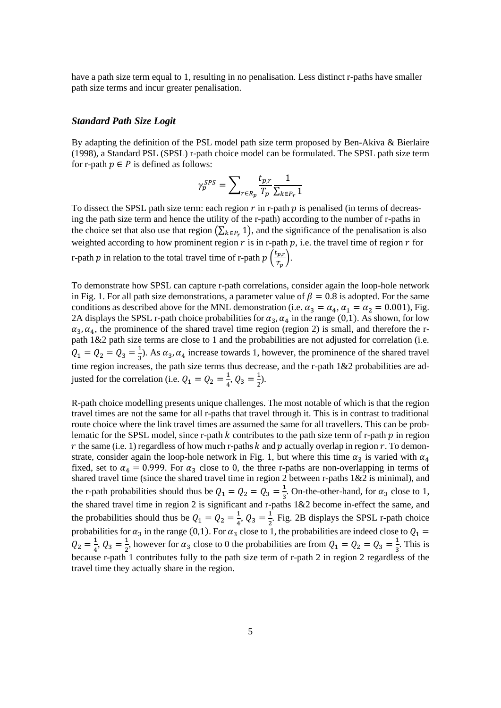have a path size term equal to 1, resulting in no penalisation. Less distinct r-paths have smaller path size terms and incur greater penalisation.

### *Standard Path Size Logit*

By adapting the definition of the PSL model path size term proposed by Ben-Akiva & Bierlaire (1998), a Standard PSL (SPSL) r-path choice model can be formulated. The SPSL path size term for r-path  $p \in P$  is defined as follows:

$$
\gamma_p^{SPS} = \sum\nolimits_{r \in R_p} \frac{t_{p,r}}{T_p} \frac{1}{\sum_{k \in P_r} 1}
$$

To dissect the SPSL path size term: each region  $r$  in r-path  $p$  is penalised (in terms of decreasing the path size term and hence the utility of the r-path) according to the number of r-paths in the choice set that also use that region  $(\sum_{k \in P_r} 1)$ , and the significance of the penalisation is also weighted according to how prominent region  $r$  is in r-path  $p$ , i.e. the travel time of region  $r$  for r-path p in relation to the total travel time of r-path  $p\left(\frac{t_{p,r}}{T}\right)$ 

 $\frac{p,r}{T_p}$ .

To demonstrate how SPSL can capture r-path correlations, consider again the loop-hole network in Fig. 1. For all path size demonstrations, a parameter value of  $\beta = 0.8$  is adopted. For the same conditions as described above for the MNL demonstration (i.e.  $\alpha_3 = \alpha_4$ ,  $\alpha_1 = \alpha_2 = 0.001$ ), Fig. 2A displays the SPSL r-path choice probabilities for  $\alpha_3$ ,  $\alpha_4$  in the range (0,1). As shown, for low  $\alpha_3$ ,  $\alpha_4$ , the prominence of the shared travel time region (region 2) is small, and therefore the rpath 1&2 path size terms are close to 1 and the probabilities are not adjusted for correlation (i.e.  $Q_1 = Q_2 = Q_3 = \frac{1}{3}$  $\frac{1}{3}$ ). As  $\alpha_3$ ,  $\alpha_4$  increase towards 1, however, the prominence of the shared travel time region increases, the path size terms thus decrease, and the r-path 1&2 probabilities are adjusted for the correlation (i.e.  $Q_1 = Q_2 = \frac{1}{4}$  $\frac{1}{4}$ ,  $Q_3 = \frac{1}{2}$  $\frac{1}{2}$ ).

R-path choice modelling presents unique challenges. The most notable of which is that the region travel times are not the same for all r-paths that travel through it. This is in contrast to traditional route choice where the link travel times are assumed the same for all travellers. This can be problematic for the SPSL model, since r-path  $k$  contributes to the path size term of r-path  $p$  in region r the same (i.e. 1) regardless of how much r-paths  $k$  and  $p$  actually overlap in region r. To demonstrate, consider again the loop-hole network in Fig. 1, but where this time  $\alpha_3$  is varied with  $\alpha_4$ fixed, set to  $\alpha_4 = 0.999$ . For  $\alpha_3$  close to 0, the three r-paths are non-overlapping in terms of shared travel time (since the shared travel time in region 2 between r-paths 1&2 is minimal), and the r-path probabilities should thus be  $Q_1 = Q_2 = Q_3 = \frac{1}{3}$  $\frac{1}{3}$ . On-the-other-hand, for  $\alpha_3$  close to 1, the shared travel time in region 2 is significant and r-paths 1&2 become in-effect the same, and the probabilities should thus be  $Q_1 = Q_2 = \frac{1}{4}$  $\frac{1}{4}$ ,  $Q_3 = \frac{1}{2}$  $\frac{1}{2}$ . Fig. 2B displays the SPSL r-path choice probabilities for  $\alpha_3$  in the range (0,1). For  $\alpha_3$  close to 1, the probabilities are indeed close to  $Q_1$  =  $Q_2 = \frac{1}{4}$  $\frac{1}{4}$ ,  $Q_3 = \frac{1}{2}$  $\frac{1}{2}$ , however for  $\alpha_3$  close to 0 the probabilities are from  $Q_1 = Q_2 = Q_3 = \frac{1}{3}$  $\frac{1}{3}$ . This is because r-path 1 contributes fully to the path size term of r-path 2 in region 2 regardless of the travel time they actually share in the region.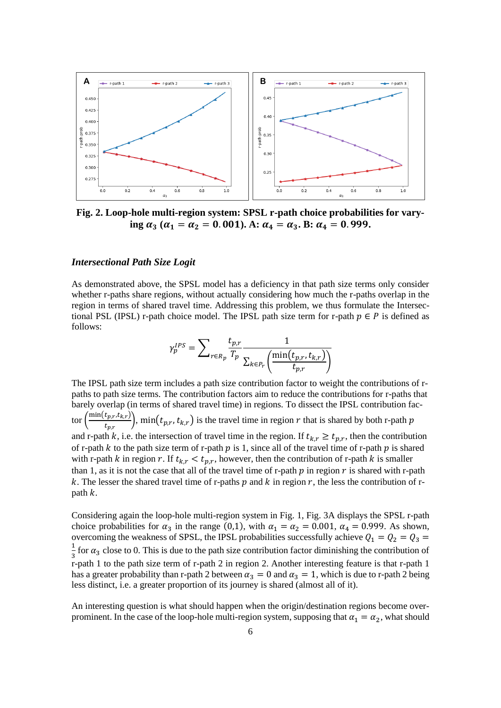

**Fig. 2. Loop-hole multi-region system: SPSL r-path choice probabilities for vary-** $\log \alpha_3 (\alpha_1 = \alpha_2 = 0.001)$ . A:  $\alpha_4 = \alpha_3$ . B:  $\alpha_4 = 0.999$ .

### *Intersectional Path Size Logit*

As demonstrated above, the SPSL model has a deficiency in that path size terms only consider whether r-paths share regions, without actually considering how much the r-paths overlap in the region in terms of shared travel time. Addressing this problem, we thus formulate the Intersectional PSL (IPSL) r-path choice model. The IPSL path size term for r-path  $p \in P$  is defined as follows:

$$
\gamma_p^{IPS} = \sum_{r \in R_p} \frac{t_{p,r}}{T_p} \frac{1}{\sum_{k \in P_r} \left(\frac{\min(t_{p,r}, t_{k,r})}{t_{p,r}}\right)}
$$

The IPSL path size term includes a path size contribution factor to weight the contributions of rpaths to path size terms. The contribution factors aim to reduce the contributions for r-paths that barely overlap (in terms of shared travel time) in regions. To dissect the IPSL contribution factor  $\left(\frac{\min(t_{p,r},t_{k,r})}{t}\right)$  $\left(\frac{L_{p,r},L_{k,r}}{L_{p,r}}\right)$ , min $\left(t_{p,r},t_{k,r}\right)$  is the travel time in region r that is shared by both r-path p and r-path k, i.e. the intersection of travel time in the region. If  $t_{k,r} \geq t_{p,r}$ , then the contribution of r-path  $k$  to the path size term of r-path  $p$  is 1, since all of the travel time of r-path  $p$  is shared with r-path k in region r. If  $t_{k,r} < t_{p,r}$ , however, then the contribution of r-path k is smaller than 1, as it is not the case that all of the travel time of r-path  $p$  in region  $r$  is shared with r-path k. The lesser the shared travel time of r-paths  $p$  and  $k$  in region  $r$ , the less the contribution of rpath  $k$ .

Considering again the loop-hole multi-region system in Fig. 1, Fig. 3A displays the SPSL r-path choice probabilities for  $\alpha_3$  in the range (0,1), with  $\alpha_1 = \alpha_2 = 0.001$ ,  $\alpha_4 = 0.999$ . As shown, overcoming the weakness of SPSL, the IPSL probabilities successfully achieve  $Q_1 = Q_2 = Q_3$  = 1  $\frac{1}{3}$  for  $\alpha_3$  close to 0. This is due to the path size contribution factor diminishing the contribution of r-path 1 to the path size term of r-path 2 in region 2. Another interesting feature is that r-path 1 has a greater probability than r-path 2 between  $\alpha_3 = 0$  and  $\alpha_3 = 1$ , which is due to r-path 2 being less distinct, i.e. a greater proportion of its journey is shared (almost all of it).

An interesting question is what should happen when the origin/destination regions become overprominent. In the case of the loop-hole multi-region system, supposing that  $\alpha_1 = \alpha_2$ , what should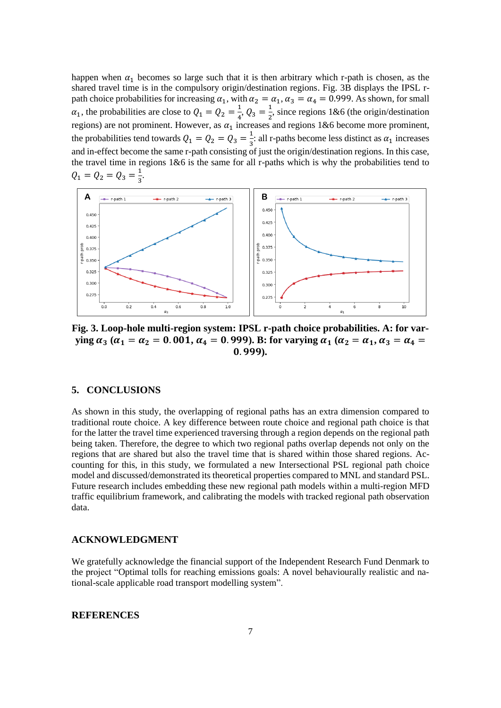happen when  $\alpha_1$  becomes so large such that it is then arbitrary which r-path is chosen, as the shared travel time is in the compulsory origin/destination regions. Fig. 3B displays the IPSL rpath choice probabilities for increasing  $\alpha_1$ , with  $\alpha_2 = \alpha_1, \alpha_3 = \alpha_4 = 0.999$ . As shown, for small  $\alpha_1$ , the probabilities are close to  $Q_1 = Q_2 = \frac{1}{4}$  $\frac{1}{4}$ ,  $Q_3 = \frac{1}{2}$  $\frac{1}{2}$ , since regions 1&6 (the origin/destination regions) are not prominent. However, as  $\alpha_1$  increases and regions 1&6 become more prominent, the probabilities tend towards  $Q_1 = Q_2 = Q_3 = \frac{1}{3}$  $\frac{1}{3}$ : all r-paths become less distinct as  $\alpha_1$  increases and in-effect become the same r-path consisting of just the origin/destination regions. In this case, the travel time in regions 1&6 is the same for all r-paths which is why the probabilities tend to  $Q_1 = Q_2 = Q_3 = \frac{1}{3}$  $\frac{1}{3}$ .



**Fig. 3. Loop-hole multi-region system: IPSL r-path choice probabilities. A: for varying**  $\alpha_3$  ( $\alpha_1 = \alpha_2 = 0.001$ ,  $\alpha_4 = 0.999$ ). B: for varying  $\alpha_1$  ( $\alpha_2 = \alpha_1$ ,  $\alpha_3 = \alpha_4 =$ . **).**

## **5. CONCLUSIONS**

As shown in this study, the overlapping of regional paths has an extra dimension compared to traditional route choice. A key difference between route choice and regional path choice is that for the latter the travel time experienced traversing through a region depends on the regional path being taken. Therefore, the degree to which two regional paths overlap depends not only on the regions that are shared but also the travel time that is shared within those shared regions. Accounting for this, in this study, we formulated a new Intersectional PSL regional path choice model and discussed/demonstrated its theoretical properties compared to MNL and standard PSL. Future research includes embedding these new regional path models within a multi-region MFD traffic equilibrium framework, and calibrating the models with tracked regional path observation data.

#### **ACKNOWLEDGMENT**

We gratefully acknowledge the financial support of the Independent Research Fund Denmark to the project "Optimal tolls for reaching emissions goals: A novel behaviourally realistic and national-scale applicable road transport modelling system".

### **REFERENCES**